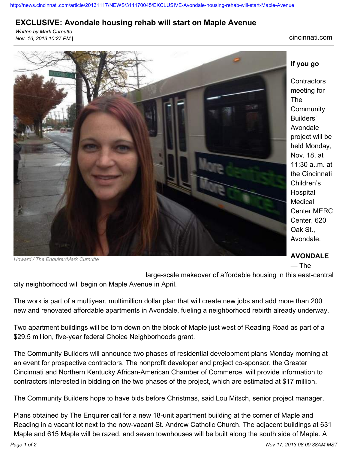<http://news.cincinnati.com/article/20131117/NEWS/311170045/EXCLUSIVE-Avondale-housing-rehab-will-start-Maple-Avenue>

## **EXCLUSIVE: Avondale housing rehab will start on Maple Avenue**

*Written by Mark Curnutte Nov. 16, 2013 10:27 PM |* cincinnati.com



*Howard / The Enquirer/Mark Curnutte*

## **If you go**

**Contractors** meeting for The **Community** Builders' Avondale project will be held Monday, Nov. 18, at 11:30 a..m. at the Cincinnati Children's Hospital Medical Center MERC Center, 620 Oak St., Avondale.

## **AVONDALE**

— The

large-scale makeover of affordable housing in this east-central city neighborhood will begin on Maple Avenue in April.

The work is part of a multiyear, multimillion dollar plan that will create new jobs and add more than 200 new and renovated affordable apartments in Avondale, fueling a neighborhood rebirth already underway.

Two apartment buildings will be torn down on the block of Maple just west of Reading Road as part of a \$29.5 million, five-year federal Choice Neighborhoods grant.

The Community Builders will announce two phases of residential development plans Monday morning at an event for prospective contractors. The nonprofit developer and project co-sponsor, the Greater Cincinnati and Northern Kentucky African-American Chamber of Commerce, will provide information to contractors interested in bidding on the two phases of the project, which are estimated at \$17 million.

The Community Builders hope to have bids before Christmas, said Lou Mitsch, senior project manager.

Plans obtained by The Enquirer call for a new 18-unit apartment building at the corner of Maple and Reading in a vacant lot next to the now-vacant St. Andrew Catholic Church. The adjacent buildings at 631 Maple and 615 Maple will be razed, and seven townhouses will be built along the south side of Maple. A